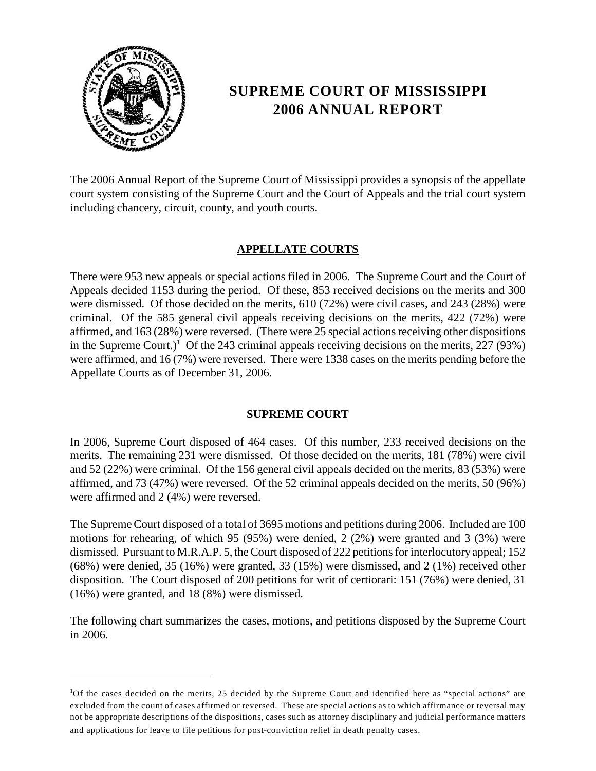

# **SUPREME COURT OF MISSISSIPPI 2006 ANNUAL REPORT**

 The 2006 Annual Report of the Supreme Court of Mississippi provides a synopsis of the appellate court system consisting of the Supreme Court and the Court of Appeals and the trial court system including chancery, circuit, county, and youth courts.

### **APPELLATE COURTS**

 criminal. Of the 585 general civil appeals receiving decisions on the merits, 422 (72%) were There were 953 new appeals or special actions filed in 2006. The Supreme Court and the Court of Appeals decided 1153 during the period. Of these, 853 received decisions on the merits and 300 were dismissed. Of those decided on the merits, 610 (72%) were civil cases, and 243 (28%) were affirmed, and 163 (28%) were reversed. (There were 25 special actions receiving other dispositions in the Supreme Court.)<sup>1</sup> Of the 243 criminal appeals receiving decisions on the merits,  $227 (93%)$ were affirmed, and 16 (7%) were reversed. There were 1338 cases on the merits pending before the Appellate Courts as of December 31, 2006.

#### **SUPREME COURT**

In 2006, Supreme Court disposed of 464 cases. Of this number, 233 received decisions on the merits. The remaining 231 were dismissed. Of those decided on the merits, 181 (78%) were civil and 52 (22%) were criminal. Of the 156 general civil appeals decided on the merits, 83 (53%) were affirmed, and 73 (47%) were reversed. Of the 52 criminal appeals decided on the merits, 50 (96%) were affirmed and 2 (4%) were reversed.

 motions for rehearing, of which 95 (95%) were denied, 2 (2%) were granted and 3 (3%) were The Supreme Court disposed of a total of 3695 motions and petitions during 2006. Included are 100 dismissed. Pursuant to M.R.A.P. 5, the Court disposed of 222 petitions for interlocutory appeal; 152 (68%) were denied, 35 (16%) were granted, 33 (15%) were dismissed, and 2 (1%) received other disposition. The Court disposed of 200 petitions for writ of certiorari: 151 (76%) were denied, 31 (16%) were granted, and 18 (8%) were dismissed.

The following chart summarizes the cases, motions, and petitions disposed by the Supreme Court in 2006.

<sup>&</sup>lt;sup>1</sup>Of the cases decided on the merits, 25 decided by the Supreme Court and identified here as "special actions" are excluded from the count of cases affirmed or reversed. These are special actions as to which affirmance or reversal may not be appropriate descriptions of the dispositions, cases such as attorney disciplinary and judicial performance matters and applications for leave to file petitions for post-conviction relief in death penalty cases.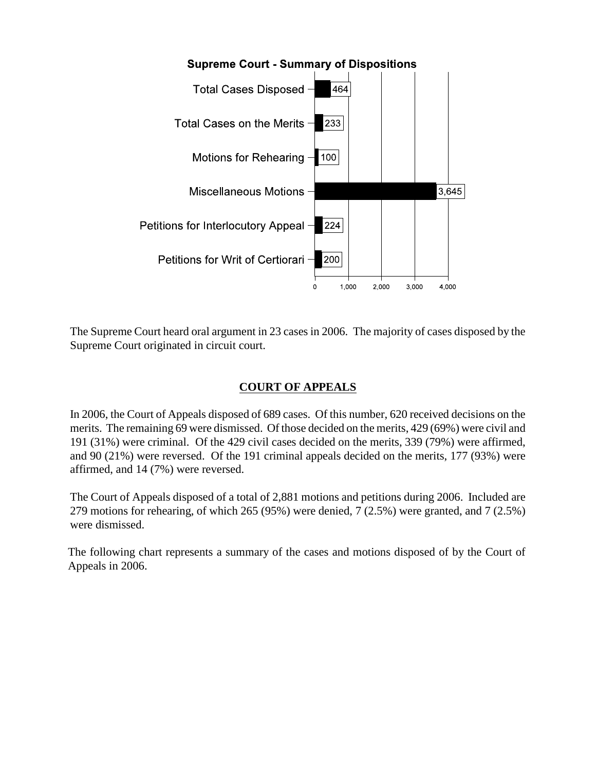

The Supreme Court heard oral argument in 23 cases in 2006. The majority of cases disposed by the Supreme Court originated in circuit court.

## **COURT OF APPEALS**

In 2006, the Court of Appeals disposed of 689 cases. Of this number, 620 received decisions on the merits. The remaining 69 were dismissed. Of those decided on the merits, 429 (69%) were civil and 191 (31%) were criminal. Of the 429 civil cases decided on the merits, 339 (79%) were affirmed, and 90 (21%) were reversed. Of the 191 criminal appeals decided on the merits, 177 (93%) were affirmed, and 14 (7%) were reversed.

The Court of Appeals disposed of a total of 2,881 motions and petitions during 2006. Included are 279 motions for rehearing, of which 265 (95%) were denied, 7 (2.5%) were granted, and 7 (2.5%) were dismissed.

The following chart represents a summary of the cases and motions disposed of by the Court of Appeals in 2006.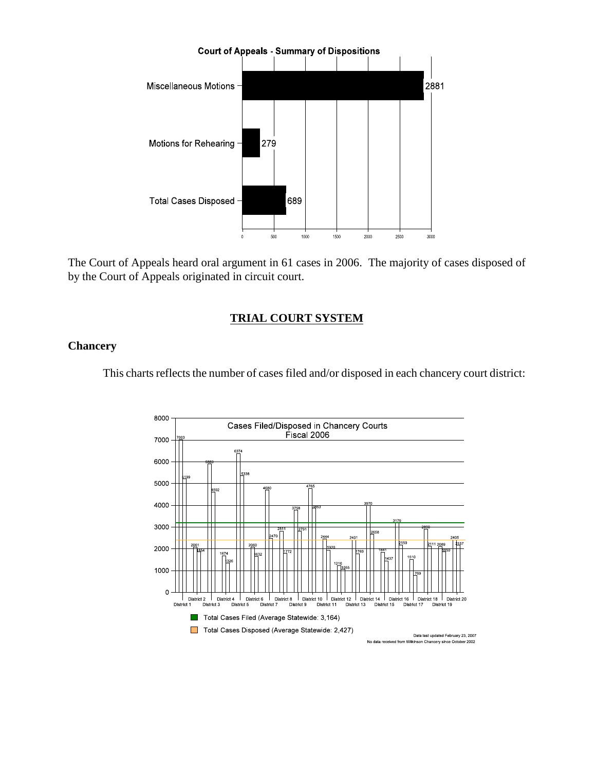

The Court of Appeals heard oral argument in 61 cases in 2006. The majority of cases disposed of by the Court of Appeals originated in circuit court.

#### **TRIAL COURT SYSTEM**

#### **Chancery**

This charts reflects the number of cases filed and/or disposed in each chancery court district:

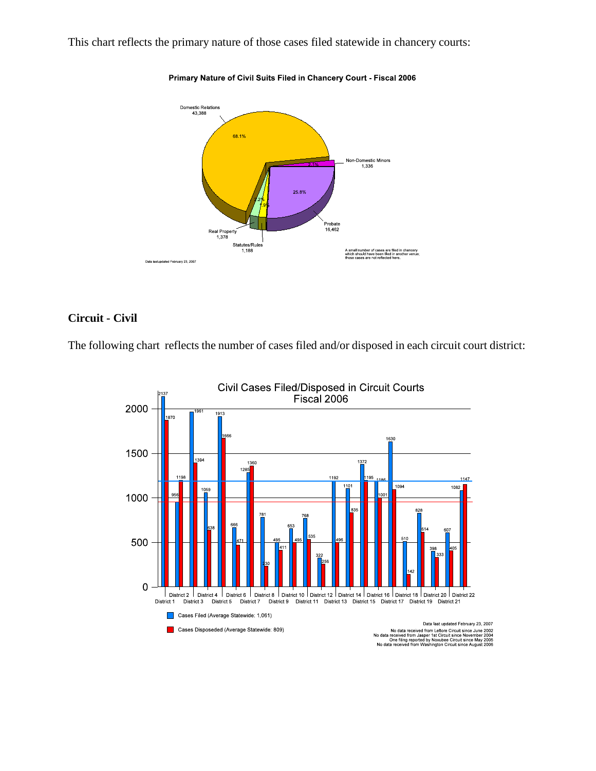This chart reflects the primary nature of those cases filed statewide in chancery courts:



Primary Nature of Civil Suits Filed in Chancery Court - Fiscal 2006

#### **Circuit - Civil**

The following chart reflects the number of cases filed and/or disposed in each circuit court district:

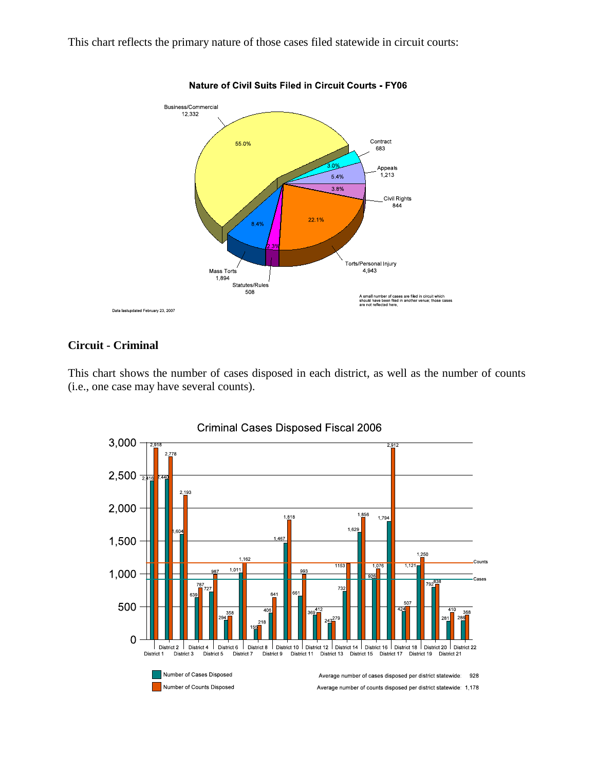This chart reflects the primary nature of those cases filed statewide in circuit courts:



**Nature of Civil Suits Filed in Circuit Courts - FY06** 

#### **Circuit - Criminal**

This chart shows the number of cases disposed in each district, as well as the number of counts (i.e., one case may have several counts).